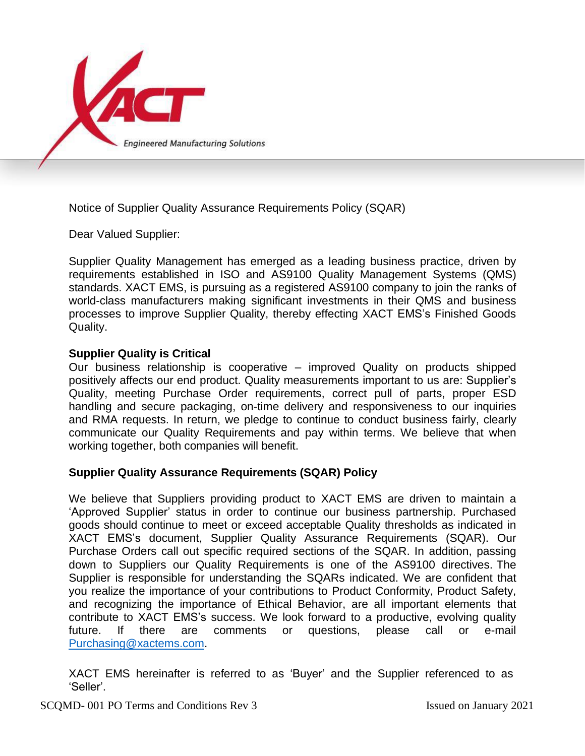

Notice of Supplier Quality Assurance Requirements Policy (SQAR)

Dear Valued Supplier:

Supplier Quality Management has emerged as a leading business practice, driven by requirements established in ISO and AS9100 Quality Management Systems (QMS) standards. XACT EMS, is pursuing as a registered AS9100 company to join the ranks of world-class manufacturers making significant investments in their QMS and business processes to improve Supplier Quality, thereby effecting XACT EMS's Finished Goods Quality.

## **Supplier Quality is Critical**

Our business relationship is cooperative – improved Quality on products shipped positively affects our end product. Quality measurements important to us are: Supplier's Quality, meeting Purchase Order requirements, correct pull of parts, proper ESD handling and secure packaging, on-time delivery and responsiveness to our inquiries and RMA requests. In return, we pledge to continue to conduct business fairly, clearly communicate our Quality Requirements and pay within terms. We believe that when working together, both companies will benefit.

## **Supplier Quality Assurance Requirements (SQAR) Policy**

We believe that Suppliers providing product to XACT EMS are driven to maintain a 'Approved Supplier' status in order to continue our business partnership. Purchased goods should continue to meet or exceed acceptable Quality thresholds as indicated in XACT EMS's document, Supplier Quality Assurance Requirements (SQAR). Our Purchase Orders call out specific required sections of the SQAR. In addition, passing down to Suppliers our Quality Requirements is one of the AS9100 directives. The Supplier is responsible for understanding the SQARs indicated. We are confident that you realize the importance of your contributions to Product Conformity, Product Safety, and recognizing the importance of Ethical Behavior, are all important elements that contribute to XACT EMS's success. We look forward to a productive, evolving quality future. If there are comments or questions, please call or e-mail [Purchasing@xactems.com.](mailto:Purchasing@xactems.com)

XACT EMS hereinafter is referred to as 'Buyer' and the Supplier referenced to as 'Seller'.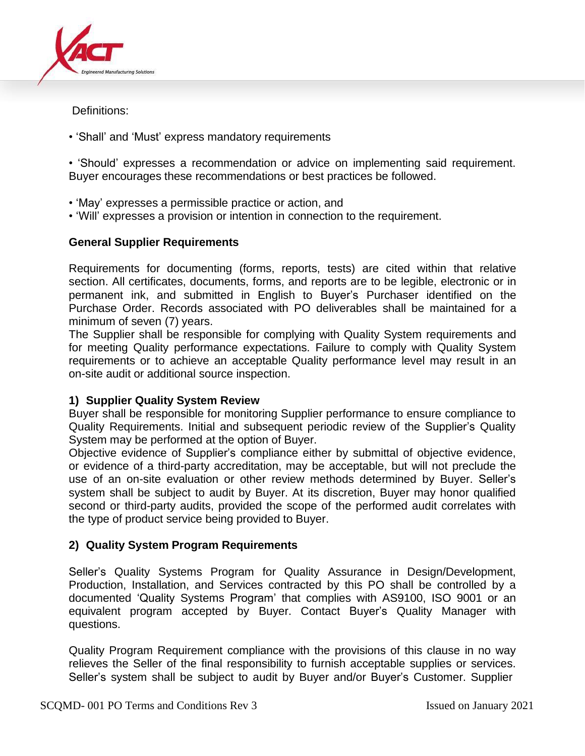

Definitions:

• 'Shall' and 'Must' express mandatory requirements

• 'Should' expresses a recommendation or advice on implementing said requirement. Buyer encourages these recommendations or best practices be followed.

- 'May' expresses a permissible practice or action, and
- 'Will' expresses a provision or intention in connection to the requirement.

# **General Supplier Requirements**

Requirements for documenting (forms, reports, tests) are cited within that relative section. All certificates, documents, forms, and reports are to be legible, electronic or in permanent ink, and submitted in English to Buyer's Purchaser identified on the Purchase Order. Records associated with PO deliverables shall be maintained for a minimum of seven (7) years.

The Supplier shall be responsible for complying with Quality System requirements and for meeting Quality performance expectations. Failure to comply with Quality System requirements or to achieve an acceptable Quality performance level may result in an on-site audit or additional source inspection.

# **1) Supplier Quality System Review**

Buyer shall be responsible for monitoring Supplier performance to ensure compliance to Quality Requirements. Initial and subsequent periodic review of the Supplier's Quality System may be performed at the option of Buyer.

Objective evidence of Supplier's compliance either by submittal of objective evidence, or evidence of a third-party accreditation, may be acceptable, but will not preclude the use of an on-site evaluation or other review methods determined by Buyer. Seller's system shall be subject to audit by Buyer. At its discretion, Buyer may honor qualified second or third-party audits, provided the scope of the performed audit correlates with the type of product service being provided to Buyer.

# **2) Quality System Program Requirements**

Seller's Quality Systems Program for Quality Assurance in Design/Development, Production, Installation, and Services contracted by this PO shall be controlled by a documented 'Quality Systems Program' that complies with AS9100, ISO 9001 or an equivalent program accepted by Buyer. Contact Buyer's Quality Manager with questions.

Quality Program Requirement compliance with the provisions of this clause in no way relieves the Seller of the final responsibility to furnish acceptable supplies or services. Seller's system shall be subject to audit by Buyer and/or Buyer's Customer. Supplier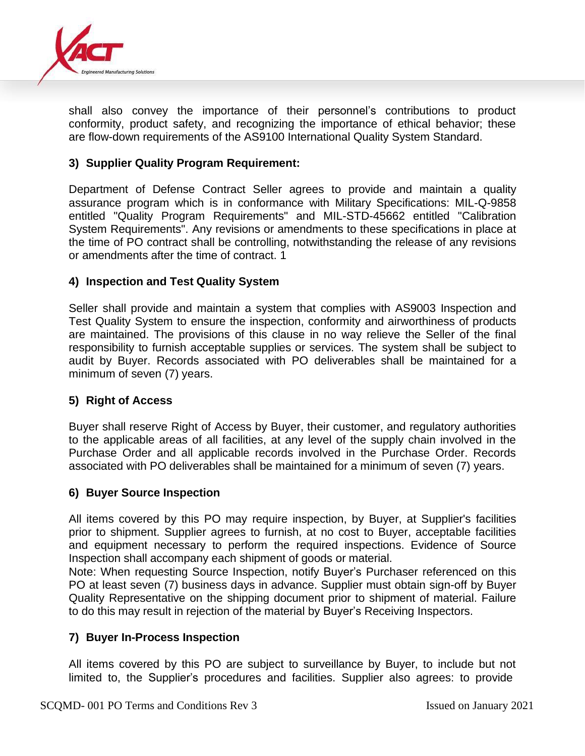

shall also convey the importance of their personnel's contributions to product conformity, product safety, and recognizing the importance of ethical behavior; these are flow-down requirements of the AS9100 International Quality System Standard.

## **3) Supplier Quality Program Requirement:**

Department of Defense Contract Seller agrees to provide and maintain a quality assurance program which is in conformance with Military Specifications: MIL-Q-9858 entitled "Quality Program Requirements" and MIL-STD-45662 entitled "Calibration System Requirements". Any revisions or amendments to these specifications in place at the time of PO contract shall be controlling, notwithstanding the release of any revisions or amendments after the time of contract. 1

## **4) Inspection and Test Quality System**

Seller shall provide and maintain a system that complies with AS9003 Inspection and Test Quality System to ensure the inspection, conformity and airworthiness of products are maintained. The provisions of this clause in no way relieve the Seller of the final responsibility to furnish acceptable supplies or services. The system shall be subject to audit by Buyer. Records associated with PO deliverables shall be maintained for a minimum of seven (7) years.

## **5) Right of Access**

Buyer shall reserve Right of Access by Buyer, their customer, and regulatory authorities to the applicable areas of all facilities, at any level of the supply chain involved in the Purchase Order and all applicable records involved in the Purchase Order. Records associated with PO deliverables shall be maintained for a minimum of seven (7) years.

## **6) Buyer Source Inspection**

All items covered by this PO may require inspection, by Buyer, at Supplier's facilities prior to shipment. Supplier agrees to furnish, at no cost to Buyer, acceptable facilities and equipment necessary to perform the required inspections. Evidence of Source Inspection shall accompany each shipment of goods or material.

Note: When requesting Source Inspection, notify Buyer's Purchaser referenced on this PO at least seven (7) business days in advance. Supplier must obtain sign-off by Buyer Quality Representative on the shipping document prior to shipment of material. Failure to do this may result in rejection of the material by Buyer's Receiving Inspectors.

## **7) Buyer In-Process Inspection**

All items covered by this PO are subject to surveillance by Buyer, to include but not limited to, the Supplier's procedures and facilities. Supplier also agrees: to provide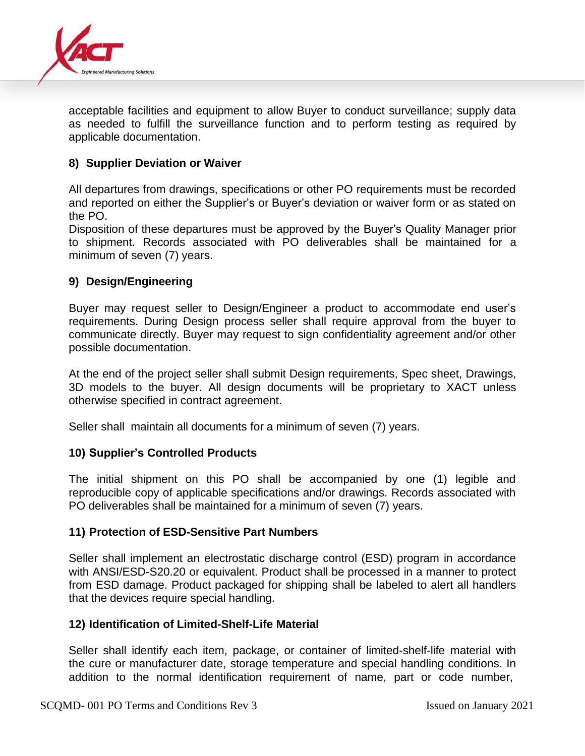

acceptable facilities and equipment to allow Buyer to conduct surveillance; supply data as needed to fulfill the surveillance function and to perform testing as required by applicable documentation.

## **8) Supplier Deviation or Waiver**

All departures from drawings, specifications or other PO requirements must be recorded and reported on either the Supplier's or Buyer's deviation or waiver form or as stated on the PO.

Disposition of these departures must be approved by the Buyer's Quality Manager prior to shipment. Records associated with PO deliverables shall be maintained for a minimum of seven (7) years.

## **9) Design/Engineering**

Buyer may request seller to Design/Engineer a product to accommodate end user's requirements. During Design process seller shall require approval from the buyer to communicate directly. Buyer may request to sign confidentiality agreement and/or other possible documentation.

At the end of the project seller shall submit Design requirements, Spec sheet, Drawings, 3D models to the buyer. All design documents will be proprietary to XACT unless otherwise specified in contract agreement.

Seller shall maintain all documents for a minimum of seven (7) years.

## **10) Supplier's Controlled Products**

The initial shipment on this PO shall be accompanied by one (1) legible and reproducible copy of applicable specifications and/or drawings. Records associated with PO deliverables shall be maintained for a minimum of seven (7) years.

## **11) Protection of ESD-Sensitive Part Numbers**

Seller shall implement an electrostatic discharge control (ESD) program in accordance with ANSI/ESD-S20.20 or equivalent. Product shall be processed in a manner to protect from ESD damage. Product packaged for shipping shall be labeled to alert all handlers that the devices require special handling.

#### **12) Identification of Limited-Shelf-Life Material**

Seller shall identify each item, package, or container of limited-shelf-life material with the cure or manufacturer date, storage temperature and special handling conditions. In addition to the normal identification requirement of name, part or code number,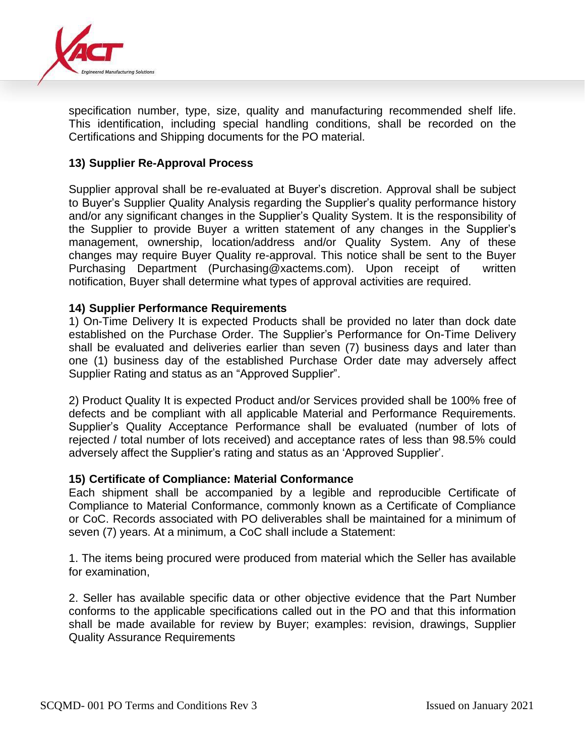

specification number, type, size, quality and manufacturing recommended shelf life. This identification, including special handling conditions, shall be recorded on the Certifications and Shipping documents for the PO material.

## **13) Supplier Re-Approval Process**

Supplier approval shall be re-evaluated at Buyer's discretion. Approval shall be subject to Buyer's Supplier Quality Analysis regarding the Supplier's quality performance history and/or any significant changes in the Supplier's Quality System. It is the responsibility of the Supplier to provide Buyer a written statement of any changes in the Supplier's management, ownership, location/address and/or Quality System. Any of these changes may require Buyer Quality re-approval. This notice shall be sent to the Buyer Purchasing Department (Purchasing@xactems.com). Upon receipt of written notification, Buyer shall determine what types of approval activities are required.

#### **14) Supplier Performance Requirements**

1) On-Time Delivery It is expected Products shall be provided no later than dock date established on the Purchase Order. The Supplier's Performance for On-Time Delivery shall be evaluated and deliveries earlier than seven (7) business days and later than one (1) business day of the established Purchase Order date may adversely affect Supplier Rating and status as an "Approved Supplier".

2) Product Quality It is expected Product and/or Services provided shall be 100% free of defects and be compliant with all applicable Material and Performance Requirements. Supplier's Quality Acceptance Performance shall be evaluated (number of lots of rejected / total number of lots received) and acceptance rates of less than 98.5% could adversely affect the Supplier's rating and status as an 'Approved Supplier'.

#### **15) Certificate of Compliance: Material Conformance**

Each shipment shall be accompanied by a legible and reproducible Certificate of Compliance to Material Conformance, commonly known as a Certificate of Compliance or CoC. Records associated with PO deliverables shall be maintained for a minimum of seven (7) years. At a minimum, a CoC shall include a Statement:

1. The items being procured were produced from material which the Seller has available for examination,

2. Seller has available specific data or other objective evidence that the Part Number conforms to the applicable specifications called out in the PO and that this information shall be made available for review by Buyer; examples: revision, drawings, Supplier Quality Assurance Requirements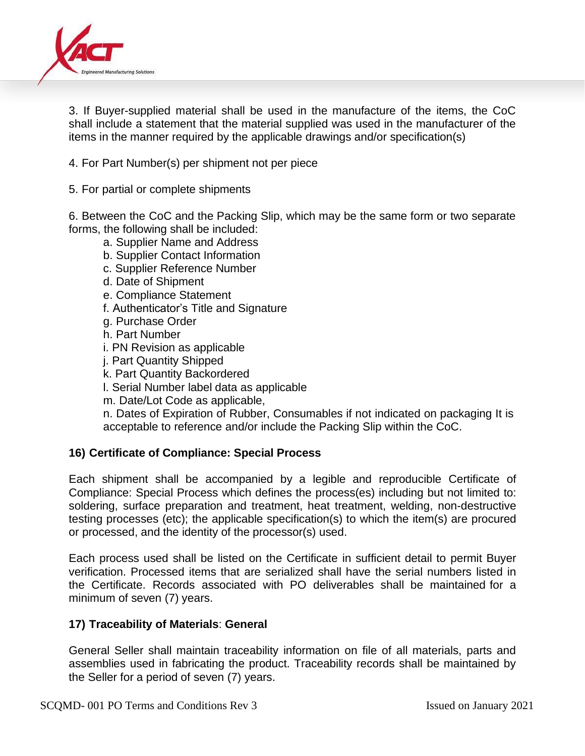

3. If Buyer-supplied material shall be used in the manufacture of the items, the CoC shall include a statement that the material supplied was used in the manufacturer of the items in the manner required by the applicable drawings and/or specification(s)

- 4. For Part Number(s) per shipment not per piece
- 5. For partial or complete shipments

6. Between the CoC and the Packing Slip, which may be the same form or two separate forms, the following shall be included:

- a. Supplier Name and Address
- b. Supplier Contact Information
- c. Supplier Reference Number
- d. Date of Shipment
- e. Compliance Statement
- f. Authenticator's Title and Signature
- g. Purchase Order
- h. Part Number
- i. PN Revision as applicable
- j. Part Quantity Shipped
- k. Part Quantity Backordered
- l. Serial Number label data as applicable
- m. Date/Lot Code as applicable,

n. Dates of Expiration of Rubber, Consumables if not indicated on packaging It is acceptable to reference and/or include the Packing Slip within the CoC.

## **16) Certificate of Compliance: Special Process**

Each shipment shall be accompanied by a legible and reproducible Certificate of Compliance: Special Process which defines the process(es) including but not limited to: soldering, surface preparation and treatment, heat treatment, welding, non-destructive testing processes (etc); the applicable specification(s) to which the item(s) are procured or processed, and the identity of the processor(s) used.

Each process used shall be listed on the Certificate in sufficient detail to permit Buyer verification. Processed items that are serialized shall have the serial numbers listed in the Certificate. Records associated with PO deliverables shall be maintained for a minimum of seven (7) years.

## **17) Traceability of Materials**: **General**

General Seller shall maintain traceability information on file of all materials, parts and assemblies used in fabricating the product. Traceability records shall be maintained by the Seller for a period of seven (7) years.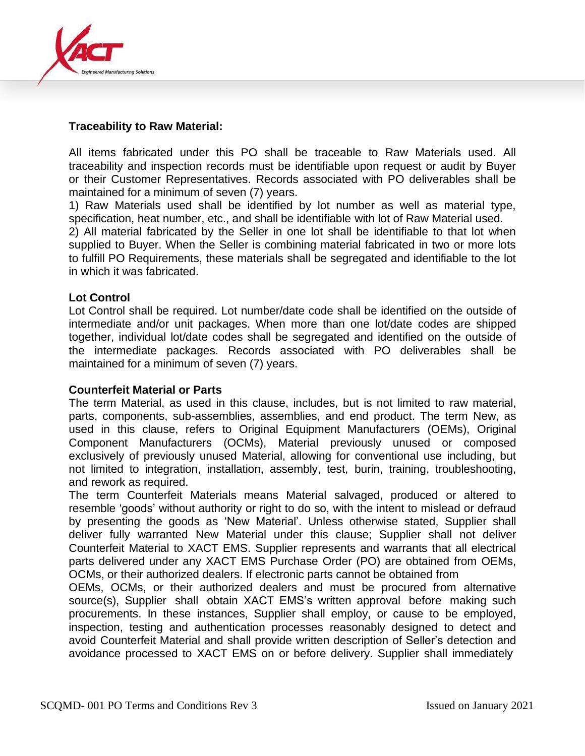

## **Traceability to Raw Material:**

All items fabricated under this PO shall be traceable to Raw Materials used. All traceability and inspection records must be identifiable upon request or audit by Buyer or their Customer Representatives. Records associated with PO deliverables shall be maintained for a minimum of seven (7) years.

1) Raw Materials used shall be identified by lot number as well as material type, specification, heat number, etc., and shall be identifiable with lot of Raw Material used.

2) All material fabricated by the Seller in one lot shall be identifiable to that lot when supplied to Buyer. When the Seller is combining material fabricated in two or more lots to fulfill PO Requirements, these materials shall be segregated and identifiable to the lot in which it was fabricated.

## **Lot Control**

Lot Control shall be required. Lot number/date code shall be identified on the outside of intermediate and/or unit packages. When more than one lot/date codes are shipped together, individual lot/date codes shall be segregated and identified on the outside of the intermediate packages. Records associated with PO deliverables shall be maintained for a minimum of seven (7) years.

## **Counterfeit Material or Parts**

The term Material, as used in this clause, includes, but is not limited to raw material, parts, components, sub-assemblies, assemblies, and end product. The term New, as used in this clause, refers to Original Equipment Manufacturers (OEMs), Original Component Manufacturers (OCMs), Material previously unused or composed exclusively of previously unused Material, allowing for conventional use including, but not limited to integration, installation, assembly, test, burin, training, troubleshooting, and rework as required.

The term Counterfeit Materials means Material salvaged, produced or altered to resemble 'goods' without authority or right to do so, with the intent to mislead or defraud by presenting the goods as 'New Material'. Unless otherwise stated, Supplier shall deliver fully warranted New Material under this clause; Supplier shall not deliver Counterfeit Material to XACT EMS. Supplier represents and warrants that all electrical parts delivered under any XACT EMS Purchase Order (PO) are obtained from OEMs, OCMs, or their authorized dealers. If electronic parts cannot be obtained from

OEMs, OCMs, or their authorized dealers and must be procured from alternative source(s), Supplier shall obtain XACT EMS's written approval before making such procurements. In these instances, Supplier shall employ, or cause to be employed, inspection, testing and authentication processes reasonably designed to detect and avoid Counterfeit Material and shall provide written description of Seller's detection and avoidance processed to XACT EMS on or before delivery. Supplier shall immediately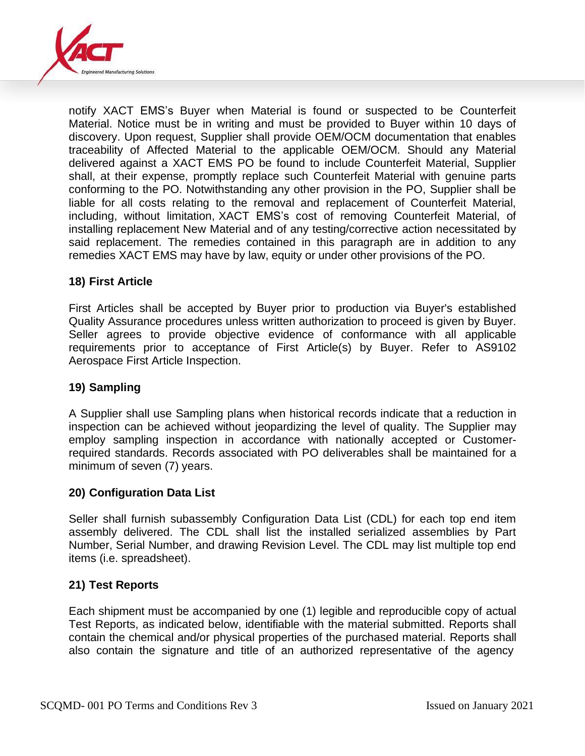

notify XACT EMS's Buyer when Material is found or suspected to be Counterfeit Material. Notice must be in writing and must be provided to Buyer within 10 days of discovery. Upon request, Supplier shall provide OEM/OCM documentation that enables traceability of Affected Material to the applicable OEM/OCM. Should any Material delivered against a XACT EMS PO be found to include Counterfeit Material, Supplier shall, at their expense, promptly replace such Counterfeit Material with genuine parts conforming to the PO. Notwithstanding any other provision in the PO, Supplier shall be liable for all costs relating to the removal and replacement of Counterfeit Material, including, without limitation, XACT EMS's cost of removing Counterfeit Material, of installing replacement New Material and of any testing/corrective action necessitated by said replacement. The remedies contained in this paragraph are in addition to any remedies XACT EMS may have by law, equity or under other provisions of the PO.

## **18) First Article**

First Articles shall be accepted by Buyer prior to production via Buyer's established Quality Assurance procedures unless written authorization to proceed is given by Buyer. Seller agrees to provide objective evidence of conformance with all applicable requirements prior to acceptance of First Article(s) by Buyer. Refer to AS9102 Aerospace First Article Inspection.

## **19) Sampling**

A Supplier shall use Sampling plans when historical records indicate that a reduction in inspection can be achieved without jeopardizing the level of quality. The Supplier may employ sampling inspection in accordance with nationally accepted or Customerrequired standards. Records associated with PO deliverables shall be maintained for a minimum of seven (7) years.

## **20) Configuration Data List**

Seller shall furnish subassembly Configuration Data List (CDL) for each top end item assembly delivered. The CDL shall list the installed serialized assemblies by Part Number, Serial Number, and drawing Revision Level. The CDL may list multiple top end items (i.e. spreadsheet).

## **21) Test Reports**

Each shipment must be accompanied by one (1) legible and reproducible copy of actual Test Reports, as indicated below, identifiable with the material submitted. Reports shall contain the chemical and/or physical properties of the purchased material. Reports shall also contain the signature and title of an authorized representative of the agency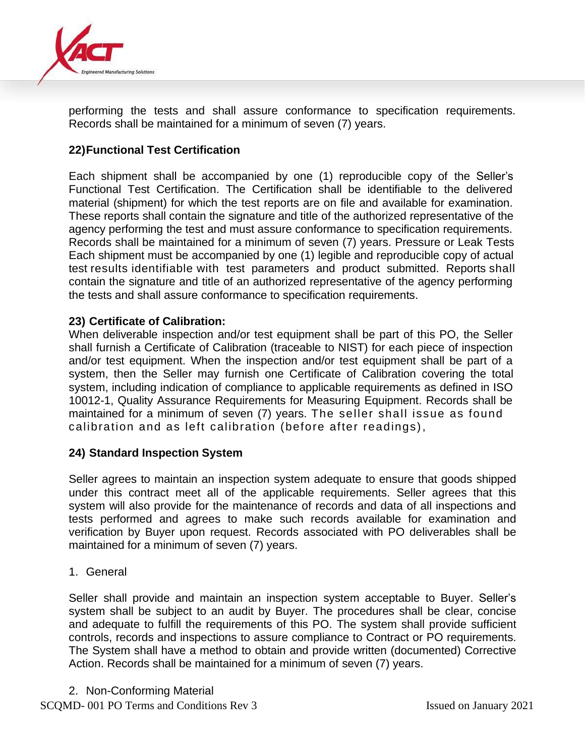

performing the tests and shall assure conformance to specification requirements. Records shall be maintained for a minimum of seven (7) years.

# **22)Functional Test Certification**

Each shipment shall be accompanied by one (1) reproducible copy of the Seller's Functional Test Certification. The Certification shall be identifiable to the delivered material (shipment) for which the test reports are on file and available for examination. These reports shall contain the signature and title of the authorized representative of the agency performing the test and must assure conformance to specification requirements. Records shall be maintained for a minimum of seven (7) years. Pressure or Leak Tests Each shipment must be accompanied by one (1) legible and reproducible copy of actual test results identifiable with test parameters and product submitted. Reports shall contain the signature and title of an authorized representative of the agency performing the tests and shall assure conformance to specification requirements.

#### **23) Certificate of Calibration:**

When deliverable inspection and/or test equipment shall be part of this PO, the Seller shall furnish a Certificate of Calibration (traceable to NIST) for each piece of inspection and/or test equipment. When the inspection and/or test equipment shall be part of a system, then the Seller may furnish one Certificate of Calibration covering the total system, including indication of compliance to applicable requirements as defined in ISO 10012-1, Quality Assurance Requirements for Measuring Equipment. Records shall be maintained for a minimum of seven (7) years. The seller shall issue as found calibration and as left calibration (before after readings),

## **24) Standard Inspection System**

Seller agrees to maintain an inspection system adequate to ensure that goods shipped under this contract meet all of the applicable requirements. Seller agrees that this system will also provide for the maintenance of records and data of all inspections and tests performed and agrees to make such records available for examination and verification by Buyer upon request. Records associated with PO deliverables shall be maintained for a minimum of seven (7) years.

1. General

Seller shall provide and maintain an inspection system acceptable to Buyer. Seller's system shall be subject to an audit by Buyer. The procedures shall be clear, concise and adequate to fulfill the requirements of this PO. The system shall provide sufficient controls, records and inspections to assure compliance to Contract or PO requirements. The System shall have a method to obtain and provide written (documented) Corrective Action. Records shall be maintained for a minimum of seven (7) years.

2. Non-Conforming Material

SCQMD- 001 PO Terms and Conditions Rev 3 Issued on January 2021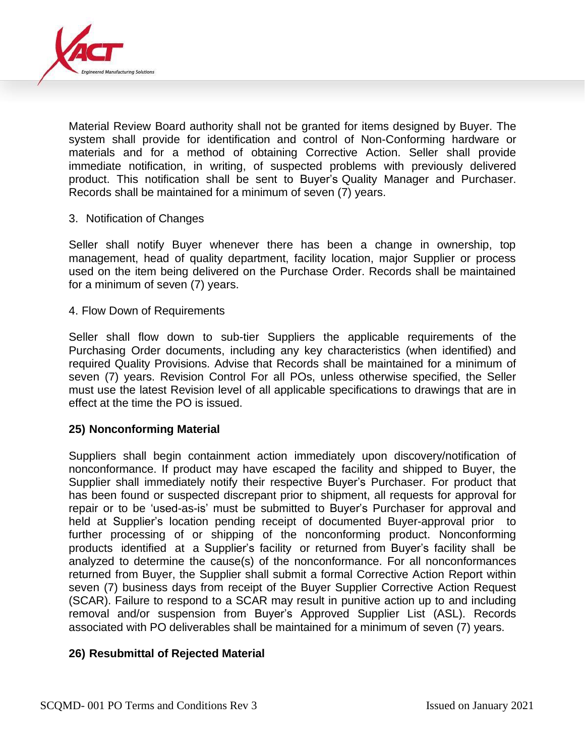

Material Review Board authority shall not be granted for items designed by Buyer. The system shall provide for identification and control of Non-Conforming hardware or materials and for a method of obtaining Corrective Action. Seller shall provide immediate notification, in writing, of suspected problems with previously delivered product. This notification shall be sent to Buyer's Quality Manager and Purchaser. Records shall be maintained for a minimum of seven (7) years.

#### 3. Notification of Changes

Seller shall notify Buyer whenever there has been a change in ownership, top management, head of quality department, facility location, major Supplier or process used on the item being delivered on the Purchase Order. Records shall be maintained for a minimum of seven (7) years.

#### 4. Flow Down of Requirements

Seller shall flow down to sub-tier Suppliers the applicable requirements of the Purchasing Order documents, including any key characteristics (when identified) and required Quality Provisions. Advise that Records shall be maintained for a minimum of seven (7) years. Revision Control For all POs, unless otherwise specified, the Seller must use the latest Revision level of all applicable specifications to drawings that are in effect at the time the PO is issued.

## **25) Nonconforming Material**

Suppliers shall begin containment action immediately upon discovery/notification of nonconformance. If product may have escaped the facility and shipped to Buyer, the Supplier shall immediately notify their respective Buyer's Purchaser. For product that has been found or suspected discrepant prior to shipment, all requests for approval for repair or to be 'used-as-is' must be submitted to Buyer's Purchaser for approval and held at Supplier's location pending receipt of documented Buyer-approval prior to further processing of or shipping of the nonconforming product. Nonconforming products identified at a Supplier's facility or returned from Buyer's facility shall be analyzed to determine the cause(s) of the nonconformance. For all nonconformances returned from Buyer, the Supplier shall submit a formal Corrective Action Report within seven (7) business days from receipt of the Buyer Supplier Corrective Action Request (SCAR). Failure to respond to a SCAR may result in punitive action up to and including removal and/or suspension from Buyer's Approved Supplier List (ASL). Records associated with PO deliverables shall be maintained for a minimum of seven (7) years.

#### **26) Resubmittal of Rejected Material**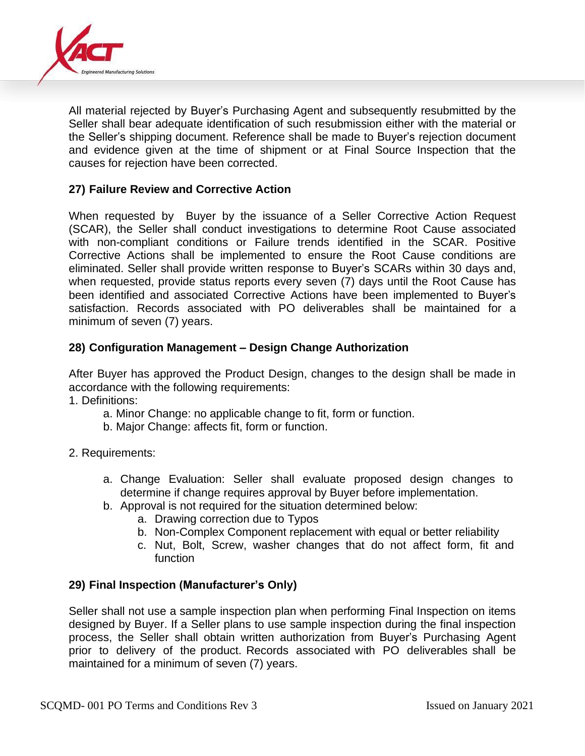

All material rejected by Buyer's Purchasing Agent and subsequently resubmitted by the Seller shall bear adequate identification of such resubmission either with the material or the Seller's shipping document. Reference shall be made to Buyer's rejection document and evidence given at the time of shipment or at Final Source Inspection that the causes for rejection have been corrected.

## **27) Failure Review and Corrective Action**

When requested by Buyer by the issuance of a Seller Corrective Action Request (SCAR), the Seller shall conduct investigations to determine Root Cause associated with non-compliant conditions or Failure trends identified in the SCAR. Positive Corrective Actions shall be implemented to ensure the Root Cause conditions are eliminated. Seller shall provide written response to Buyer's SCARs within 30 days and, when requested, provide status reports every seven (7) days until the Root Cause has been identified and associated Corrective Actions have been implemented to Buyer's satisfaction. Records associated with PO deliverables shall be maintained for a minimum of seven (7) years.

## **28) Configuration Management – Design Change Authorization**

After Buyer has approved the Product Design, changes to the design shall be made in accordance with the following requirements:

- 1. Definitions:
	- a. Minor Change: no applicable change to fit, form or function.
	- b. Major Change: affects fit, form or function.
- 2. Requirements:
	- a. Change Evaluation: Seller shall evaluate proposed design changes to determine if change requires approval by Buyer before implementation.
	- b. Approval is not required for the situation determined below:
		- a. Drawing correction due to Typos
		- b. Non-Complex Component replacement with equal or better reliability
		- c. Nut, Bolt, Screw, washer changes that do not affect form, fit and function

## **29) Final Inspection (Manufacturer's Only)**

Seller shall not use a sample inspection plan when performing Final Inspection on items designed by Buyer. If a Seller plans to use sample inspection during the final inspection process, the Seller shall obtain written authorization from Buyer's Purchasing Agent prior to delivery of the product. Records associated with PO deliverables shall be maintained for a minimum of seven (7) years.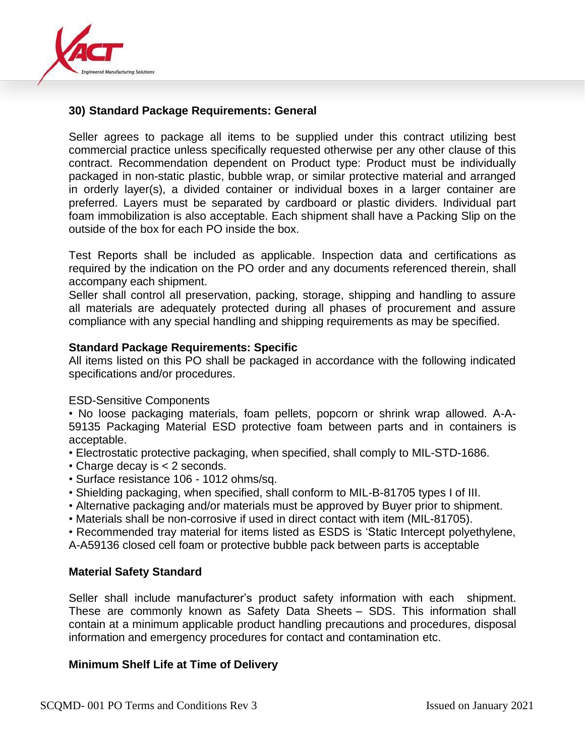

## **30) Standard Package Requirements: General**

Seller agrees to package all items to be supplied under this contract utilizing best commercial practice unless specifically requested otherwise per any other clause of this contract. Recommendation dependent on Product type: Product must be individually packaged in non-static plastic, bubble wrap, or similar protective material and arranged in orderly layer(s), a divided container or individual boxes in a larger container are preferred. Layers must be separated by cardboard or plastic dividers. Individual part foam immobilization is also acceptable. Each shipment shall have a Packing Slip on the outside of the box for each PO inside the box.

Test Reports shall be included as applicable. Inspection data and certifications as required by the indication on the PO order and any documents referenced therein, shall accompany each shipment.

Seller shall control all preservation, packing, storage, shipping and handling to assure all materials are adequately protected during all phases of procurement and assure compliance with any special handling and shipping requirements as may be specified.

#### **Standard Package Requirements: Specific**

All items listed on this PO shall be packaged in accordance with the following indicated specifications and/or procedures.

#### ESD-Sensitive Components

• No loose packaging materials, foam pellets, popcorn or shrink wrap allowed. A-A-59135 Packaging Material ESD protective foam between parts and in containers is acceptable.

- Electrostatic protective packaging, when specified, shall comply to MIL-STD-1686.
- Charge decay is < 2 seconds.
- Surface resistance 106 1012 ohms/sq.
- Shielding packaging, when specified, shall conform to MIL-B-81705 types I of III.
- Alternative packaging and/or materials must be approved by Buyer prior to shipment.
- Materials shall be non-corrosive if used in direct contact with item (MIL-81705).

• Recommended tray material for items listed as ESDS is 'Static Intercept polyethylene, A-A59136 closed cell foam or protective bubble pack between parts is acceptable

#### **Material Safety Standard**

Seller shall include manufacturer's product safety information with each shipment. These are commonly known as Safety Data Sheets – SDS. This information shall contain at a minimum applicable product handling precautions and procedures, disposal information and emergency procedures for contact and contamination etc.

## **Minimum Shelf Life at Time of Delivery**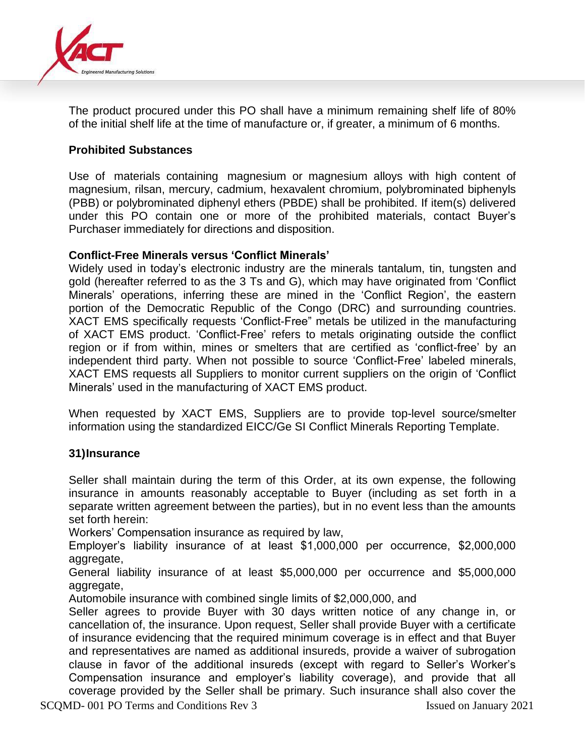

The product procured under this PO shall have a minimum remaining shelf life of 80% of the initial shelf life at the time of manufacture or, if greater, a minimum of 6 months.

## **Prohibited Substances**

Use of materials containing magnesium or magnesium alloys with high content of magnesium, rilsan, mercury, cadmium, hexavalent chromium, polybrominated biphenyls (PBB) or polybrominated diphenyl ethers (PBDE) shall be prohibited. If item(s) delivered under this PO contain one or more of the prohibited materials, contact Buyer's Purchaser immediately for directions and disposition.

## **Conflict-Free Minerals versus 'Conflict Minerals'**

Widely used in today's electronic industry are the minerals tantalum, tin, tungsten and gold (hereafter referred to as the 3 Ts and G), which may have originated from 'Conflict Minerals' operations, inferring these are mined in the 'Conflict Region', the eastern portion of the Democratic Republic of the Congo (DRC) and surrounding countries. XACT EMS specifically requests 'Conflict-Free" metals be utilized in the manufacturing of XACT EMS product. 'Conflict-Free' refers to metals originating outside the conflict region or if from within, mines or smelters that are certified as 'conflict-free' by an independent third party. When not possible to source 'Conflict-Free' labeled minerals, XACT EMS requests all Suppliers to monitor current suppliers on the origin of 'Conflict Minerals' used in the manufacturing of XACT EMS product.

When requested by XACT EMS, Suppliers are to provide top-level source/smelter information using the standardized EICC/Ge SI Conflict Minerals Reporting Template.

## **31)Insurance**

Seller shall maintain during the term of this Order, at its own expense, the following insurance in amounts reasonably acceptable to Buyer (including as set forth in a separate written agreement between the parties), but in no event less than the amounts set forth herein:

Workers' Compensation insurance as required by law,

Employer's liability insurance of at least \$1,000,000 per occurrence, \$2,000,000 aggregate,

General liability insurance of at least \$5,000,000 per occurrence and \$5,000,000 aggregate,

Automobile insurance with combined single limits of \$2,000,000, and

Seller agrees to provide Buyer with 30 days written notice of any change in, or cancellation of, the insurance. Upon request, Seller shall provide Buyer with a certificate of insurance evidencing that the required minimum coverage is in effect and that Buyer and representatives are named as additional insureds, provide a waiver of subrogation clause in favor of the additional insureds (except with regard to Seller's Worker's Compensation insurance and employer's liability coverage), and provide that all coverage provided by the Seller shall be primary. Such insurance shall also cover the